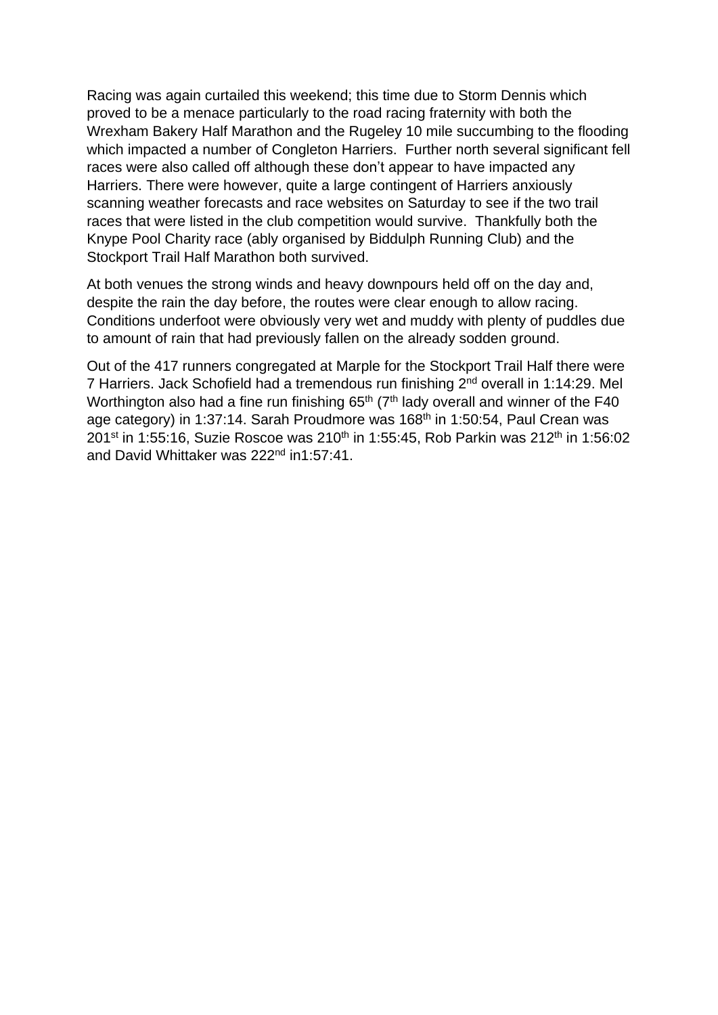Racing was again curtailed this weekend; this time due to Storm Dennis which proved to be a menace particularly to the road racing fraternity with both the Wrexham Bakery Half Marathon and the Rugeley 10 mile succumbing to the flooding which impacted a number of Congleton Harriers. Further north several significant fell races were also called off although these don't appear to have impacted any Harriers. There were however, quite a large contingent of Harriers anxiously scanning weather forecasts and race websites on Saturday to see if the two trail races that were listed in the club competition would survive. Thankfully both the Knype Pool Charity race (ably organised by Biddulph Running Club) and the Stockport Trail Half Marathon both survived.

At both venues the strong winds and heavy downpours held off on the day and, despite the rain the day before, the routes were clear enough to allow racing. Conditions underfoot were obviously very wet and muddy with plenty of puddles due to amount of rain that had previously fallen on the already sodden ground.

Out of the 417 runners congregated at Marple for the Stockport Trail Half there were 7 Harriers. Jack Schofield had a tremendous run finishing 2<sup>nd</sup> overall in 1:14:29. Mel Worthington also had a fine run finishing  $65<sup>th</sup>$  ( $7<sup>th</sup>$  lady overall and winner of the F40 age category) in 1:37:14. Sarah Proudmore was 168<sup>th</sup> in 1:50:54, Paul Crean was 201<sup>st</sup> in 1:55:16, Suzie Roscoe was 210<sup>th</sup> in 1:55:45, Rob Parkin was 212<sup>th</sup> in 1:56:02 and David Whittaker was 222<sup>nd</sup> in1:57:41.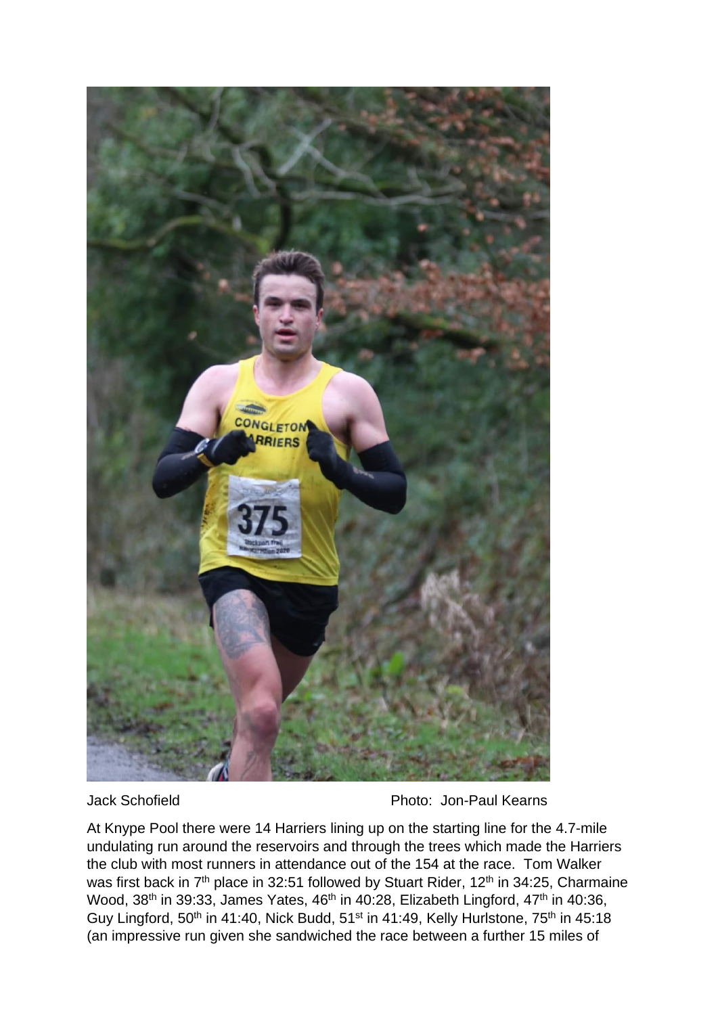

Jack Schofield Photo: Jon-Paul Kearns

At Knype Pool there were 14 Harriers lining up on the starting line for the 4.7-mile undulating run around the reservoirs and through the trees which made the Harriers the club with most runners in attendance out of the 154 at the race. Tom Walker was first back in 7<sup>th</sup> place in 32:51 followed by Stuart Rider, 12<sup>th</sup> in 34:25, Charmaine Wood, 38<sup>th</sup> in 39:33, James Yates, 46<sup>th</sup> in 40:28, Elizabeth Lingford, 47<sup>th</sup> in 40:36, Guy Lingford, 50<sup>th</sup> in 41:40, Nick Budd, 51<sup>st</sup> in 41:49, Kelly Hurlstone, 75<sup>th</sup> in 45:18 (an impressive run given she sandwiched the race between a further 15 miles of